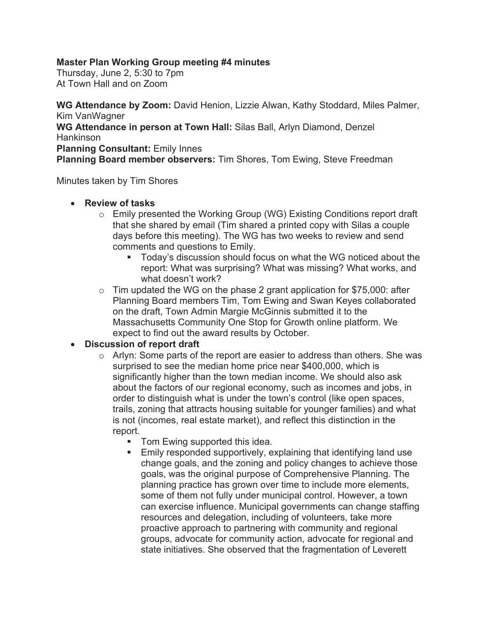## **Master Plan Working Group meeting #4 minutes**

Thursday, June 2, 5:30 to 7pm At Town Hall and on Zoom

**WG Attendance by Zoom:** David Henion, Lizzie Alwan, Kathy Stoddard, Miles Palmer, Kim VanWagner **WG Attendance in person at Town Hall:** Silas Ball, Arlyn Diamond, Denzel Hankinson **Planning Consultant:** Emily Innes **Planning Board member observers:** Tim Shores, Tom Ewing, Steve Freedman

Minutes taken by Tim Shores

## • **Review of tasks**

- $\circ$  Emily presented the Working Group (WG) Existing Conditions report draft that she shared by email (Tim shared a printed copy with Silas a couple days before this meeting). The WG has two weeks to review and send comments and questions to Emily.
	- § Today's discussion should focus on what the WG noticed about the report: What was surprising? What was missing? What works, and what doesn't work?
- $\circ$  Tim updated the WG on the phase 2 grant application for \$75,000: after Planning Board members Tim, Tom Ewing and Swan Keyes collaborated on the draft, Town Admin Margie McGinnis submitted it to the Massachusetts Community One Stop for Growth online platform. We expect to find out the award results by October.

## • **Discussion of report draft**

- o Arlyn: Some parts of the report are easier to address than others. She was surprised to see the median home price near \$400,000, which is significantly higher than the town median income. We should also ask about the factors of our regional economy, such as incomes and jobs, in order to distinguish what is under the town's control (like open spaces, trails, zoning that attracts housing suitable for younger families) and what is not (incomes, real estate market), and reflect this distinction in the report.
	- Tom Ewing supported this idea.
	- **Emily responded supportively, explaining that identifying land use** change goals, and the zoning and policy changes to achieve those goals, was the original purpose of Comprehensive Planning. The planning practice has grown over time to include more elements, some of them not fully under municipal control. However, a town can exercise influence. Municipal governments can change staffing resources and delegation, including of volunteers, take more proactive approach to partnering with community and regional groups, advocate for community action, advocate for regional and state initiatives. She observed that the fragmentation of Leverett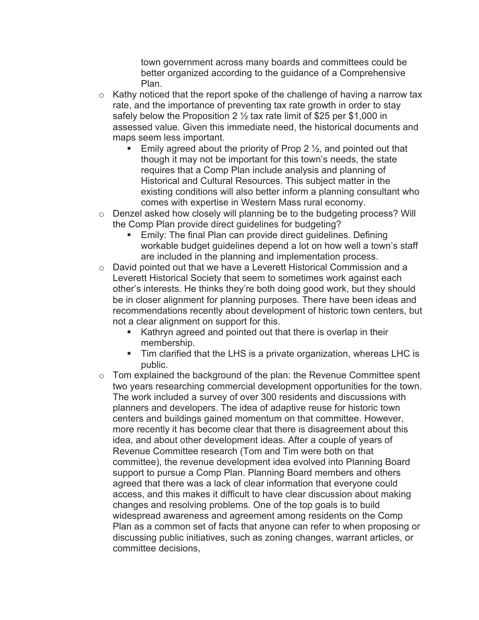town government across many boards and committees could be better organized according to the guidance of a Comprehensive Plan.

- $\circ$  Kathy noticed that the report spoke of the challenge of having a narrow tax rate, and the importance of preventing tax rate growth in order to stay safely below the Proposition 2  $\frac{1}{2}$  tax rate limit of \$25 per \$1,000 in assessed value. Given this immediate need, the historical documents and maps seem less important.
	- Emily agreed about the priority of Prop 2  $\frac{1}{2}$ , and pointed out that though it may not be important for this town's needs, the state requires that a Comp Plan include analysis and planning of Historical and Cultural Resources. This subject matter in the existing conditions will also better inform a planning consultant who comes with expertise in Western Mass rural economy.
- $\circ$  Denzel asked how closely will planning be to the budgeting process? Will the Comp Plan provide direct guidelines for budgeting?
	- Emily: The final Plan can provide direct guidelines. Defining workable budget guidelines depend a lot on how well a town's staff are included in the planning and implementation process.
- o David pointed out that we have a Leverett Historical Commission and a Leverett Historical Society that seem to sometimes work against each other's interests. He thinks they're both doing good work, but they should be in closer alignment for planning purposes. There have been ideas and recommendations recently about development of historic town centers, but not a clear alignment on support for this.
	- Kathryn agreed and pointed out that there is overlap in their membership.
	- § Tim clarified that the LHS is a private organization, whereas LHC is public.
- $\circ$  Tom explained the background of the plan: the Revenue Committee spent two years researching commercial development opportunities for the town. The work included a survey of over 300 residents and discussions with planners and developers. The idea of adaptive reuse for historic town centers and buildings gained momentum on that committee. However, more recently it has become clear that there is disagreement about this idea, and about other development ideas. After a couple of years of Revenue Committee research (Tom and Tim were both on that committee), the revenue development idea evolved into Planning Board support to pursue a Comp Plan. Planning Board members and others agreed that there was a lack of clear information that everyone could access, and this makes it difficult to have clear discussion about making changes and resolving problems. One of the top goals is to build widespread awareness and agreement among residents on the Comp Plan as a common set of facts that anyone can refer to when proposing or discussing public initiatives, such as zoning changes, warrant articles, or committee decisions,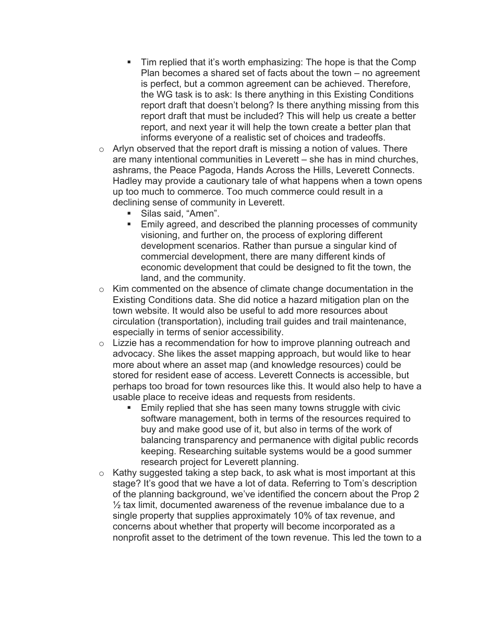- Tim replied that it's worth emphasizing: The hope is that the Comp Plan becomes a shared set of facts about the town – no agreement is perfect, but a common agreement can be achieved. Therefore, the WG task is to ask: Is there anything in this Existing Conditions report draft that doesn't belong? Is there anything missing from this report draft that must be included? This will help us create a better report, and next year it will help the town create a better plan that informs everyone of a realistic set of choices and tradeoffs.
- $\circ$  Arlyn observed that the report draft is missing a notion of values. There are many intentional communities in Leverett – she has in mind churches, ashrams, the Peace Pagoda, Hands Across the Hills, Leverett Connects. Hadley may provide a cautionary tale of what happens when a town opens up too much to commerce. Too much commerce could result in a declining sense of community in Leverett.
	- § Silas said, "Amen".
	- Emily agreed, and described the planning processes of community visioning, and further on, the process of exploring different development scenarios. Rather than pursue a singular kind of commercial development, there are many different kinds of economic development that could be designed to fit the town, the land, and the community.
- o Kim commented on the absence of climate change documentation in the Existing Conditions data. She did notice a hazard mitigation plan on the town website. It would also be useful to add more resources about circulation (transportation), including trail guides and trail maintenance, especially in terms of senior accessibility.
- $\circ$  Lizzie has a recommendation for how to improve planning outreach and advocacy. She likes the asset mapping approach, but would like to hear more about where an asset map (and knowledge resources) could be stored for resident ease of access. Leverett Connects is accessible, but perhaps too broad for town resources like this. It would also help to have a usable place to receive ideas and requests from residents.
	- Emily replied that she has seen many towns struggle with civic software management, both in terms of the resources required to buy and make good use of it, but also in terms of the work of balancing transparency and permanence with digital public records keeping. Researching suitable systems would be a good summer research project for Leverett planning.
- o Kathy suggested taking a step back, to ask what is most important at this stage? It's good that we have a lot of data. Referring to Tom's description of the planning background, we've identified the concern about the Prop 2  $\frac{1}{2}$  tax limit, documented awareness of the revenue imbalance due to a single property that supplies approximately 10% of tax revenue, and concerns about whether that property will become incorporated as a nonprofit asset to the detriment of the town revenue. This led the town to a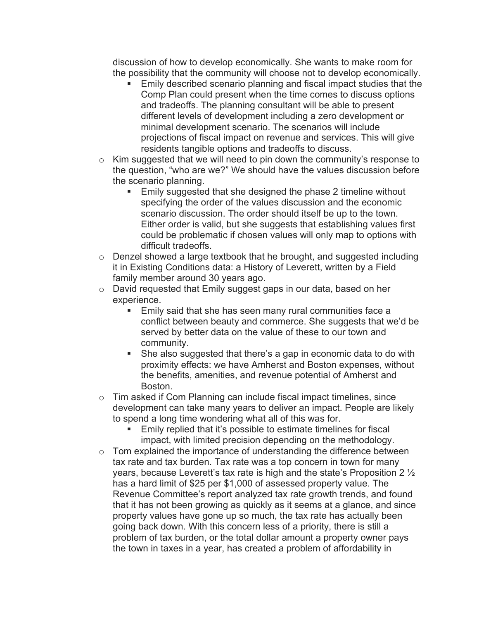discussion of how to develop economically. She wants to make room for the possibility that the community will choose not to develop economically.

- Emily described scenario planning and fiscal impact studies that the Comp Plan could present when the time comes to discuss options and tradeoffs. The planning consultant will be able to present different levels of development including a zero development or minimal development scenario. The scenarios will include projections of fiscal impact on revenue and services. This will give residents tangible options and tradeoffs to discuss.
- o Kim suggested that we will need to pin down the community's response to the question, "who are we?" We should have the values discussion before the scenario planning.
	- Emily suggested that she designed the phase 2 timeline without specifying the order of the values discussion and the economic scenario discussion. The order should itself be up to the town. Either order is valid, but she suggests that establishing values first could be problematic if chosen values will only map to options with difficult tradeoffs.
- $\circ$  Denzel showed a large textbook that he brought, and suggested including it in Existing Conditions data: a History of Leverett, written by a Field family member around 30 years ago.
- o David requested that Emily suggest gaps in our data, based on her experience.
	- Emily said that she has seen many rural communities face a conflict between beauty and commerce. She suggests that we'd be served by better data on the value of these to our town and community.
	- She also suggested that there's a gap in economic data to do with proximity effects: we have Amherst and Boston expenses, without the benefits, amenities, and revenue potential of Amherst and Boston.
- o Tim asked if Com Planning can include fiscal impact timelines, since development can take many years to deliver an impact. People are likely to spend a long time wondering what all of this was for.
	- Emily replied that it's possible to estimate timelines for fiscal impact, with limited precision depending on the methodology.
- $\circ$  Tom explained the importance of understanding the difference between tax rate and tax burden. Tax rate was a top concern in town for many years, because Leverett's tax rate is high and the state's Proposition 2 ½ has a hard limit of \$25 per \$1,000 of assessed property value. The Revenue Committee's report analyzed tax rate growth trends, and found that it has not been growing as quickly as it seems at a glance, and since property values have gone up so much, the tax rate has actually been going back down. With this concern less of a priority, there is still a problem of tax burden, or the total dollar amount a property owner pays the town in taxes in a year, has created a problem of affordability in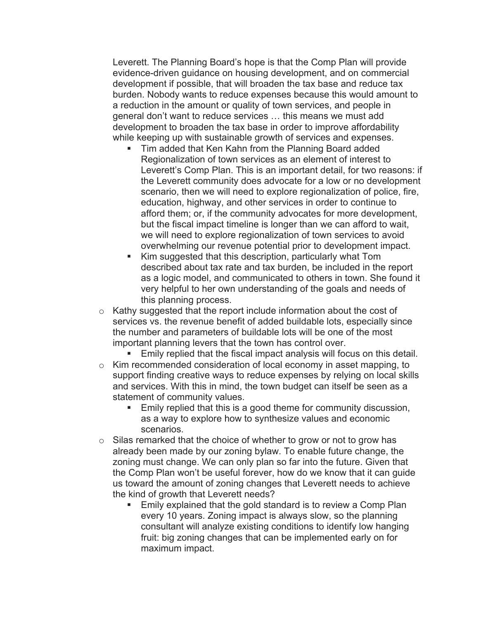Leverett. The Planning Board's hope is that the Comp Plan will provide evidence-driven guidance on housing development, and on commercial development if possible, that will broaden the tax base and reduce tax burden. Nobody wants to reduce expenses because this would amount to a reduction in the amount or quality of town services, and people in general don't want to reduce services … this means we must add development to broaden the tax base in order to improve affordability while keeping up with sustainable growth of services and expenses.

- § Tim added that Ken Kahn from the Planning Board added Regionalization of town services as an element of interest to Leverett's Comp Plan. This is an important detail, for two reasons: if the Leverett community does advocate for a low or no development scenario, then we will need to explore regionalization of police, fire, education, highway, and other services in order to continue to afford them; or, if the community advocates for more development, but the fiscal impact timeline is longer than we can afford to wait, we will need to explore regionalization of town services to avoid overwhelming our revenue potential prior to development impact.
- Kim suggested that this description, particularly what Tom described about tax rate and tax burden, be included in the report as a logic model, and communicated to others in town. She found it very helpful to her own understanding of the goals and needs of this planning process.
- o Kathy suggested that the report include information about the cost of services vs. the revenue benefit of added buildable lots, especially since the number and parameters of buildable lots will be one of the most important planning levers that the town has control over.

Emily replied that the fiscal impact analysis will focus on this detail.

- o Kim recommended consideration of local economy in asset mapping, to support finding creative ways to reduce expenses by relying on local skills and services. With this in mind, the town budget can itself be seen as a statement of community values.
	- Emily replied that this is a good theme for community discussion, as a way to explore how to synthesize values and economic scenarios.
- $\circ$  Silas remarked that the choice of whether to grow or not to grow has already been made by our zoning bylaw. To enable future change, the zoning must change. We can only plan so far into the future. Given that the Comp Plan won't be useful forever, how do we know that it can guide us toward the amount of zoning changes that Leverett needs to achieve the kind of growth that Leverett needs?
	- Emily explained that the gold standard is to review a Comp Plan every 10 years. Zoning impact is always slow, so the planning consultant will analyze existing conditions to identify low hanging fruit: big zoning changes that can be implemented early on for maximum impact.